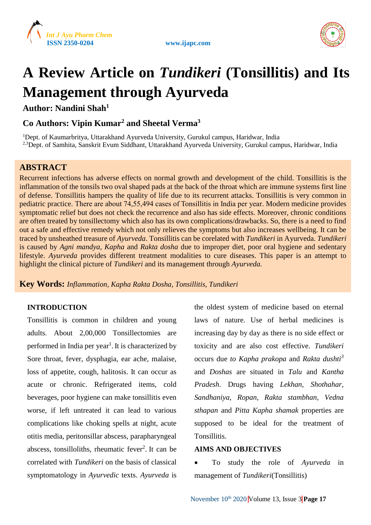





# **A Review Article on** *Tundikeri* **(Tonsillitis) and Its Management through Ayurveda**

**Author: Nandini Shah<sup>1</sup>**

# **Co Authors: Vipin Kumar<sup>2</sup> and Sheetal Verma<sup>3</sup>**

<sup>1</sup>Dept. of Kaumarbritya, Uttarakhand Ayurveda University, Gurukul campus, Haridwar, India <sup>2,3</sup>Dept. of Samhita, Sanskrit Evum Siddhant, Uttarakhand Ayurveda University, Gurukul campus, Haridwar, India

# **ABSTRACT**

Recurrent infections has adverse effects on normal growth and development of the child. Tonsillitis is the inflammation of the tonsils two oval shaped pads at the back of the throat which are immune systems first line of defense. Tonsillitis hampers the quality of life due to its recurrent attacks. Tonsillitis is very common in pediatric practice. There are about 74,55,494 cases of Tonsillitis in India per year. Modern medicine provides symptomatic relief but does not check the recurrence and also has side effects. Moreover, chronic conditions are often treated by tonsillectomy which also has its own complications/drawbacks. So, there is a need to find out a safe and effective remedy which not only relieves the symptoms but also increases wellbeing. It can be traced by unsheathed treasure of *Ayurveda*. Tonsillitis can be corelated with *Tundikeri* in Ayurveda. *Tundikeri* is caused by *Agni mandya, Kapha* and *Rakta dosha* due to improper diet, poor oral hygiene and sedentary lifestyle. *Ayurveda* provides different treatment modalities to cure diseases. This paper is an attempt to highlight the clinical picture of *Tundikeri* and its management through *Ayurveda.*

**Key Words:** *Inflammation, Kapha Rakta Dosha, Tonsillitis, Tundikeri*

# **INTRODUCTION**

Tonsillitis is common in children and young adults. About 2,00,000 Tonsillectomies are performed in India per year<sup>1</sup>. It is characterized by Sore throat, fever, dysphagia, ear ache, malaise, loss of appetite, cough, halitosis. It can occur as acute or chronic. Refrigerated items, cold beverages, poor hygiene can make tonsillitis even worse, if left untreated it can lead to various complications like choking spells at night, acute otitis media, peritonsillar abscess, parapharyngeal abscess, tonsilloliths, rheumatic fever<sup>2</sup>. It can be correlated with *Tundikeri* on the basis of classical symptomatology in *Ayurvedic* texts. *Ayurveda* is

the oldest system of medicine based on eternal laws of nature. Use of herbal medicines is increasing day by day as there is no side effect or toxicity and are also cost effective. *Tundikeri*  occurs due *to Kapha prakopa* and *Rakta dushti<sup>3</sup>* and *Doshas* are situated in *Talu* and *Kantha Pradesh*. Drugs having *Lekhan, Shothahar, Sandhaniya, Ropan, Rakta stambhan, Vedna sthapan* and *Pitta Kapha shamak* properties are supposed to be ideal for the treatment of **Tonsillitis** 

## **AIMS AND OBJECTIVES**

 To study the role of *Ayurveda* in management of *Tundikeri*(Tonsillitis)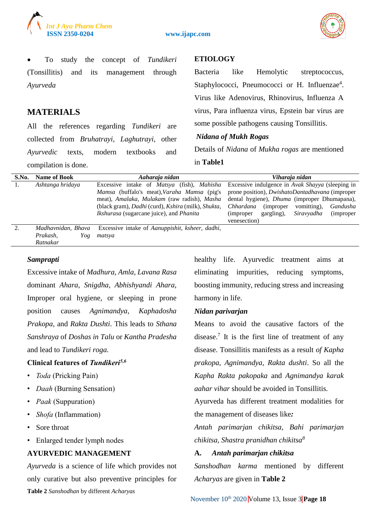

**ISSN 2350-0204 www.ijapc.com**



 To study the concept of *Tundikeri*  (Tonsillitis) and its management through *Ayurveda* 

## **MATERIALS**

All the references regarding *Tundikeri* are collected from *Bruhatrayi, Laghutrayi*, other *Ayurvedic* texts, modern textbooks and compilation is done.

# **ETIOLOGY**

Bacteria like Hemolytic streptococcus, Staphylococci, Pneumococci or H. Influenzae<sup>4</sup>. Virus like Adenovirus, Rhinovirus, Influenza A virus, Para influenza virus, Epstein bar virus are some possible pathogens causing Tonsillitis.

#### *Nidana of Mukh Rogas*

Details of *Nidana* of *Mukha rogas* are mentioned in **Table1**

| S.No.         | <b>Name of Book</b> | Aaharaja nidan                                                          | Viharaja nidan                                                     |
|---------------|---------------------|-------------------------------------------------------------------------|--------------------------------------------------------------------|
| 1.            | Ashtanga hridaya    | Excessive intake of <i>Matsya</i> (fish), <i>Mahisha</i>                | Excessive indulgence in Avak Shayya (sleeping in                   |
|               |                     | <i>Mamsa</i> (buffalo's meat), <i>Varaha Mamsa</i> (pig's               | prone position), <i>DwishatoDantadhavana</i> (improper             |
|               |                     | meat), Amalaka, Mulakam (raw radish), Masha                             | dental hygiene), <i>Dhuma</i> (improper Dhumapana),                |
|               |                     | (black gram), Dadhi (curd), Kshira (milk), Shukta,                      | Chhardana<br>vomitting),<br>Gandusha<br><i>(improper)</i>          |
|               |                     | <i>Ikshurasa</i> (sugarcane juice), and <i>Phanita</i>                  | Siravyadha<br>gargling),<br><i>(improper)</i><br><i>(improper)</i> |
|               |                     |                                                                         | venesection)                                                       |
| $\mathcal{D}$ | Madhavnidan, Bhava  | Excessive intake of <i>Aanuppishit</i> , <i>ksheer</i> , <i>dadhi</i> , |                                                                    |
|               | Prakash,<br>Yog     | matsva                                                                  |                                                                    |
|               | Ratnakar            |                                                                         |                                                                    |

#### *Samprapti*

Excessive intake of *Madhura, Amla, Lavana Rasa* dominant *Ahara*, *Snigdha, Abhishyandi Ahara*, Improper oral hygiene, or sleeping in prone position causes *Agnimandya, Kaphadosha Prakopa*, and *Rakta Dushti*. This leads to *Sthana Sanshraya* of *Doshas in Talu* or *Kantha Pradesha* and lead to *Tundikeri roga.*

#### **Clinical features of** *Tundikeri5,6*

- *Toda* (Pricking Pain)
- *Daah* (Burning Sensation)
- *Paak* (Suppuration)
- *Shofa* (Inflammation)
- Sore throat
- Enlarged tender lymph nodes

#### **AYURVEDIC MANAGEMENT**

*Ayurveda* is a science of life which provides not only curative but also preventive principles for **Table 2** *Sanshodhan* by different *Acharyas*

healthy life. Ayurvedic treatment aims at eliminating impurities, reducing symptoms, boosting immunity, reducing stress and increasing harmony in life.

#### *Nidan parivarjan*

Means to avoid the causative factors of the disease.<sup>7</sup> It is the first line of treatment of any disease. Tonsillitis manifests as a result *of Kapha prakopa, Agnimandya, Rakta dushti*. So all the *Kapha Rakta pakopaka* and *Agnimandya karak aahar vihar* should be avoided in Tonsillitis*.*

Ayurveda has different treatment modalities for the management of diseases like*:* 

*Antah parimarjan chikitsa, Bahi parimarjan chikitsa, Shastra pranidhan chikitsa<sup>8</sup>*

# **A.** *Antah parimarjan chikitsa*

*Sanshodhan karma* mentioned by different *Acharyas* are given in **Table 2**

November 10<sup>th</sup> 2020 Volume 13, Issue 3 Page 18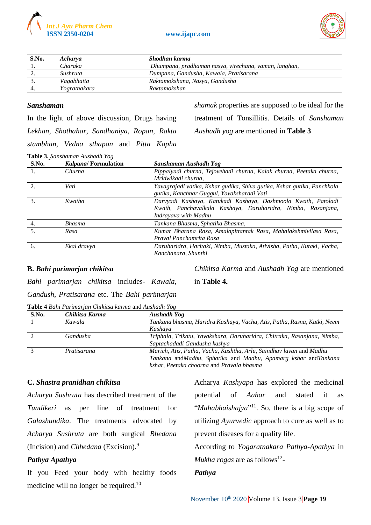



| S.No. | <b>Acharya</b>  | Shodhan karma                                         |
|-------|-----------------|-------------------------------------------------------|
|       | Charaka         | Dhumpana, pradhaman nasya, virechana, vaman, langhan, |
|       | <i>Sushruta</i> | Dumpana, Gandusha, Kawala, Pratisarana                |
|       | Vagabhatta      | Raktamokshana, Nasya, Gandusha                        |
|       | Yogratnakara    | Raktamokshan                                          |

#### *Sanshaman*

In the light of above discussion, Drugs having *Lekhan, Shothahar, Sandhaniya, Ropan, Rakta stambhan, Vedna sthapan* and *Pitta Kapha*  *shamak* properties are supposed to be ideal for the treatment of Tonsillitis. Details of *Sanshaman Aushadh yog* are mentioned in **Table 3**

| Table 3. Sanshaman Aushadh Yog |
|--------------------------------|
|--------------------------------|

| S.No. | <i>Kalpana</i> / Formulation | Sanshaman Aushadh Yog                                                   |
|-------|------------------------------|-------------------------------------------------------------------------|
| 1.    | Churna                       | Pippalyadi churna, Tejovehadi churna, Kalak churna, Peetaka churna,     |
|       |                              | Mridwikadi churna.                                                      |
|       | Vati                         | Yavagrajadi vatika, Kshar gudika, Shiva gutika, Kshar gutika, Panchkola |
|       |                              | gutika, Kanchnar Guggul, Yavaksharadi Vati                              |
|       | Kwatha                       | Darvyadi Kashaya, Katukadi Kashaya, Dashmoola Kwath, Patoladi           |
|       |                              | Kwath, Panchavalkala Kashaya, Daruharidra, Nimba, Rasanjana,            |
|       |                              | Indrayava with Madhu                                                    |
|       | <b>Bhasma</b>                | Tankana Bhasma, Sphatika Bhasma,                                        |
| 5.    | Rasa                         | Kumar Bharana Rasa, Amalapittantak Rasa, Mahalakshmivilasa Rasa,        |
|       |                              | Praval Panchamrita Rasa                                                 |
| 6.    | Ekal dravya                  | Daruharidra, Haritaki, Nimba, Mustaka, Ativisha, Patha, Kutaki, Vacha,  |
|       |                              | Kanchanara, Shunthi                                                     |

#### **B.** *Bahi parimarjan chikitsa*

*Chikitsa Karma* and *Aushadh Yog* are mentioned

*Bahi parimarjan chikitsa* includes*- Kawala, Gandush, Pratisarana* etc*.* The *Bahi parimarjan*  in **Table 4.**

| Table 4 Bahi Parimarjan Chikitsa karma and Aushadh Yog |                |                                                                         |  |
|--------------------------------------------------------|----------------|-------------------------------------------------------------------------|--|
| S.No.                                                  | Chikitsa Karma | Aushadh Yog                                                             |  |
|                                                        | Kawala         | Tankana bhasma, Haridra Kashaya, Vacha, Atis, Patha, Rasna, Kutki, Neem |  |
|                                                        |                | Kashaya                                                                 |  |
|                                                        | Gandusha       | Triphala, Trikatu, Yavakshara, Daruharidra, Chitraka, Rasanjana, Nimba, |  |
|                                                        |                | Saptachadadi Gandusha kashya                                            |  |
|                                                        | Pratisarana    | Marich, Atis, Patha, Vacha, Kushtha, Arlu, Saindhay lavan and Madhu     |  |
|                                                        |                | Tankana andMadhu, Sphatika and Madhu, Apamarg kshar andTankana          |  |
|                                                        |                | kshar, Peetaka choorna and Pravala bhasma                               |  |

#### **C.** *Shastra pranidhan chikitsa*

*Acharya Sushruta* has described treatment of the *Tundikeri* as per line of treatment for *Galashundika*. The treatments advocated by *Acharya Sushruta* are both surgical *Bhedana* (Incision) and *Chhedana* (Excision).<sup>9</sup>

#### *Pathya Apathya*

If you Feed your body with healthy foods medicine will no longer be required.<sup>10</sup>

Acharya *Kashyapa* has explored the medicinal potential of *Aahar* and stated it as "*Mahabhaishajya*"<sup>11</sup>. So, there is a big scope of utilizing *Ayurvedic* approach to cure as well as to prevent diseases for a quality life.

According to *Yogaratnakara Pathya-Apathya* in *Mukha rogas* are as follows<sup>12</sup>-

#### *Pathya*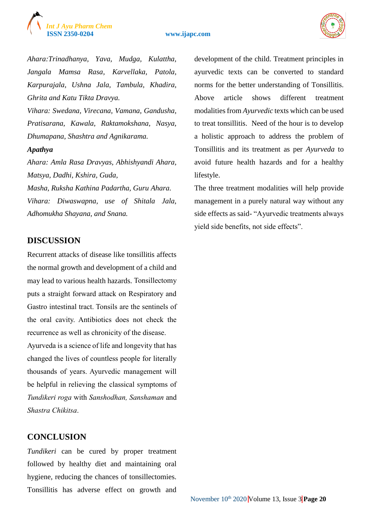# *Int J Ayu Pharm Chem*

#### **ISSN 2350-0204 www.ijapc.com**



*Ahara:Trinadhanya, Yava, Mudga, Kulattha, Jangala Mamsa Rasa, Karvellaka, Patola, Karpurajala, Ushna Jala, Tambula, Khadira, Ghrita and Katu Tikta Dravya.*

*Vihara: Swedana, Virecana, Vamana, Gandusha, Pratisarana, Kawala, Raktamokshana, Nasya, Dhumapana, Shashtra and Agnikarama.*

#### *Apathya*

*Ahara: Amla Rasa Dravyas, Abhishyandi Ahara, Matsya, Dadhi, Kshira, Guda,*

*Masha, Ruksha Kathina Padartha, Guru Ahara. Vihara: Diwaswapna, use of Shitala Jala, Adhomukha Shayana, and Snana.*

# **DISCUSSION**

Recurrent attacks of disease like tonsillitis affects the normal growth and development of a child and may lead to various health hazards. Tonsillectomy puts a straight forward attack on Respiratory and Gastro intestinal tract. Tonsils are the sentinels of the oral cavity. Antibiotics does not check the recurrence as well as chronicity of the disease.

Ayurveda is a science of life and longevity that has changed the lives of countless people for literally thousands of years. Ayurvedic management will be helpful in relieving the classical symptoms of *Tundikeri roga* with *Sanshodhan, Sanshaman* and *Shastra Chikitsa*.

# **CONCLUSION**

*Tundikeri* can be cured by proper treatment followed by healthy diet and maintaining oral hygiene, reducing the chances of tonsillectomies. Tonsillitis has adverse effect on growth and

development of the child. Treatment principles in ayurvedic texts can be converted to standard norms for the better understanding of Tonsillitis. Above article shows different treatment modalities from *Ayurvedic* texts which can be used to treat tonsillitis. Need of the hour is to develop a holistic approach to address the problem of Tonsillitis and its treatment as per *Ayurveda* to avoid future health hazards and for a healthy lifestyle.

The three treatment modalities will help provide management in a purely natural way without any side effects as said- "Ayurvedic treatments always yield side benefits, not side effects".